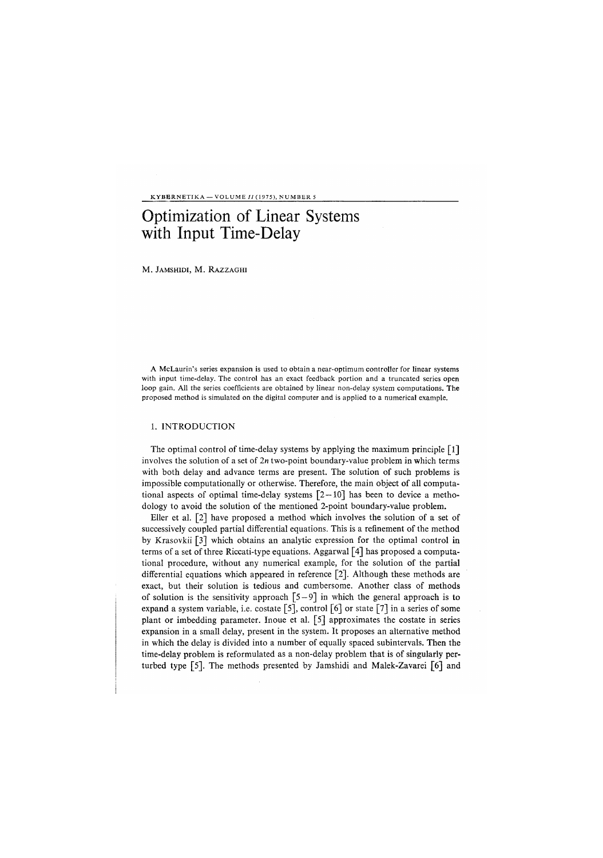KYBERNETIKA —VOLUME *11* (1975), NUMBER 5

# Optimization o**f** Linear Systems with Input Time-Delay

M. JAMSHIDI, M. RAZZAGHI

A McLaurin's series expansion is used to obtain a near-optimum controller for linear systems with input time-delay. The control has an exact feedback portion and a truncated series open loop gain. All the series coefficients are obtained by linear non-delay system computations. The proposed method is simulated on the digital computer and is applied to a numerical example.

### 1. INTRODUCTION

The optimal control of time-delay systems by applying the maximum principle [1] involves the solution of a set of 2n two-point boundary-value problem in which terms with both delay and advance terms are present. The solution of such problems is impossible computationally or otherwise. Therefore, the main object of all computational aspects of optimal time-delay systems  $[2 - 10]$  has been to device a methodology to avoid the solution of the mentioned 2-point boundary-value problem.

Eller et al. [2] have proposed a method which involves the solution of a set of successively coupled partial differential equations. This is a refinement of the method by Krasovkii [3] which obtains an analytic expression for the optimal control in terms of a set of three Riccati-type equations. Aggarwal [4] has proposed a computational procedure, without any numerical example, for the solution of the partial differential equations which appeared in reference [2]. Although these methods are exact, but their solution is tedious and cumbersome. Another class of methods of solution is the sensitivity approach  $\lceil 5 - 9 \rceil$  in which the general approach is to expand a system variable, i.e. costate  $[5]$ , control  $[6]$  or state  $[7]$  in a series of some plant or imbedding parameter. Inoue et al. [5] approximates the costate in series expansion in a small delay, present in the system. It proposes an alternative method in which the delay is divided into a number of equally spaced subintervals. Then the time-delay problem is reformulated as a non-delay problem that is of singularly perturbed type [5]. The methods presented by Jamshidi and Malek-Zavarei [6] and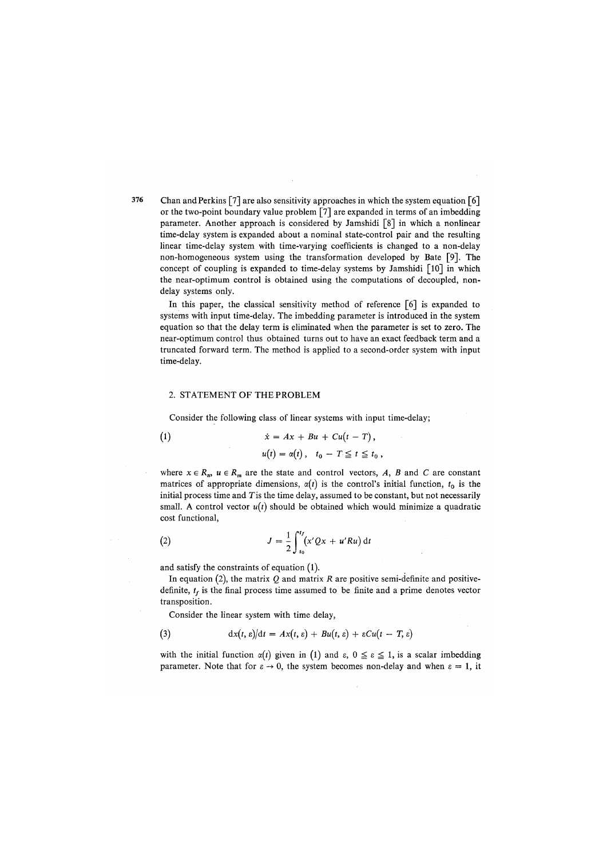376 Chan and Perkins [7] are also sensitivity approaches in which the system equation [6] or the two-point boundary value problem [7] are expanded in terms of an imbedding parameter. Another approach is considered by Jamshidi [8] in which a nonlinear time-delay system is expanded about a nominal state-control pair and the resulting linear time-delay system with time-varying coefficients is changed to a non-delay non-homogeneous system using the transformation developed by Bate [9]. The concept of coupling is expanded to time-delay systems by Jamshidi [10] in which the near-optimum control is obtained using the computations of decoupled, nondelay systems only.

In this paper, the classical sensitivity method of reference [6] is expanded to systems with input time-delay. The imbedding parameter is introduced in the system equation so that the delay term is eliminated when the parameter is set to zero. The near-optimum control thus obtained turns out to have an exact feedback term and a truncated forward term. The method is applied to a second-order system with input time-delay.

### 2. STATEMENT OF THE PROBLEM

Consider the following class of linear systems with input time-delay;

(1)  $\dot{x} = Ax + Bu + Cu(t - T),$ 

$$
u(t) = \alpha(t) , \quad t_0 - T \leqq t \leqq t_0 ,
$$

where  $x \in R_n$ ,  $u \in R_m$  are the state and control vectors, A, B and C are constant matrices of appropriate dimensions,  $\alpha(t)$  is the control's initial function,  $t_0$  is the initial process time and *T*is the time delay, assumed to be constant, but not necessarily small. A control vector  $u(t)$  should be obtained which would minimize a quadratic cost functional,

(2) 
$$
J = \frac{1}{2} \int_{t_0}^{t_f} (x'Qx + u'Ru) dt
$$

and satisfy the constraints of equation (l).

In equation (2), the matrix *Q* and matrix *R* are positive semi-definite and positivedefinite,  $t_f$  is the final process time assumed to be finite and a prime denotes vector transposition.

Consider the linear system with time delay,

(3) 
$$
dx(t, \varepsilon)/dt = Ax(t, \varepsilon) + Bu(t, \varepsilon) + \varepsilon Cu(t - T, \varepsilon)
$$

with the initial function  $\alpha(t)$  given in (1) and  $\varepsilon$ ,  $0 \le \varepsilon \le 1$ , is a scalar imbedding parameter. Note that for  $\varepsilon \to 0$ , the system becomes non-delay and when  $\varepsilon = 1$ , it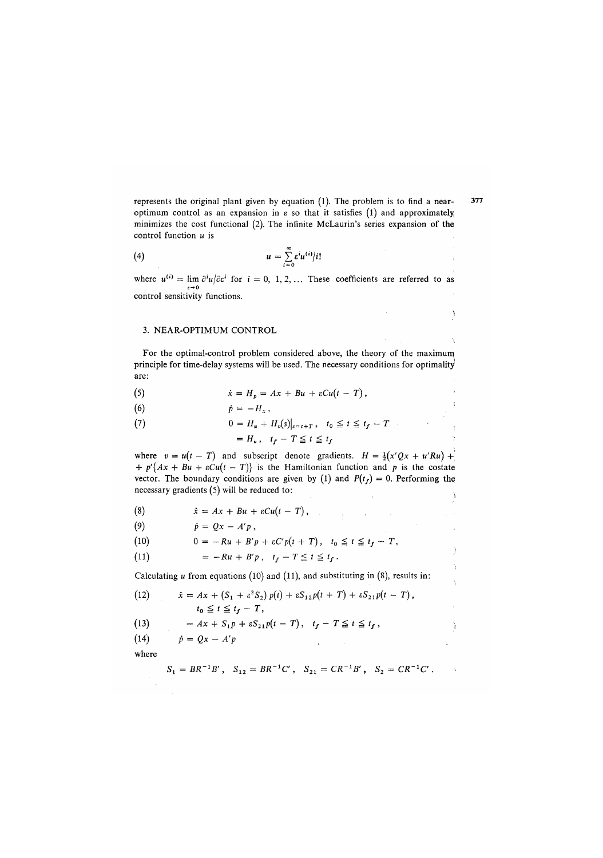represents the original plant given by equation (1). The problem is to find a near- 377 optimum control as an expansion in  $\varepsilon$  so that it satisfies (1) and approximately minimizes the cost functional (2). The infinite McLaurin's series expansion of the control function *u* is

(4) 
$$
u = \sum_{i=0}^{\infty} \varepsilon^{i} u^{(i)} / i!
$$

where  $u^{(i)} = \lim \partial^i u/\partial \varepsilon^i$  for  $i = 0, 1, 2, ...$  These coefficients are referred to as **e-0**  control sensitivity functions.

### 3. NEAR-OPTIMUM CONTROL

For the optimal-control problem considered above, the theory of the maximum principle for time-delay systems will be used. The necessary conditions for optimality are:

- (5)  $\dot{x} = H_p = Ax + Bu + \varepsilon Cu(t T),$
- (6)  $\dot{p} = -H_x$ ,
- (7)  $0 = H_u + H_v(s)|_{s = t+T}, t_0 \le t \le t_f T$

$$
= H_u, \quad t_f - T \leq t \leq t_f
$$

where  $v = u(t - T)$  and subscript denote gradients.  $H = \frac{1}{2}(x'Qx + u'Ru) +$  $+ p'\{Ax + Bu + \varepsilon Cu(t-T)\}\$ is the Hamiltonian function and p is the costate vector. The boundary conditions are given by (1) and  $P(t_f) = 0$ . Performing the necessary gradients (5) will be reduced to:

 $\mathcal{L}_{\mathrm{eff}}$ 

(8)  $\dot{x} = Ax + Bu + \varepsilon Cu(t - T),$  $\mathcal{L}^{\text{max}}$ 

 $- A'p$ 

$$
(9) \qquad \qquad \dot{p} = Qx - A'p \ ,
$$

- (10)  $0 = -Ru + B'p + \varepsilon C' p(t + T), t_0 \leq t \leq t_f T,$
- (11)  $= -Ru + B'p, t_f T \le t \le t_f.$

Calculating  $u$  from equations (10) and (11), and substituting in  $(8)$ , results in:

(12) 
$$
\dot{x} = Ax + (S_1 + \varepsilon^2 S_2) p(t) + \varepsilon S_{12} p(t + T) + \varepsilon S_{21} p(t - T),
$$

$$
t_0 \le t \le t_f - T,
$$

(13) 
$$
= Ax + S_1 p + \varepsilon S_{21} p(t-T), \quad t_f - T \leq t \leq t_f,
$$

$$
(14) \qquad \qquad \dot{p} = Qx
$$

where

$$
S_1 = BR^{-1}B'
$$
,  $S_{12} = BR^{-1}C'$ ,  $S_{21} = CR^{-1}B'$ ,  $S_2 = CR^{-1}C'$ .

 $\lambda$ 

'-,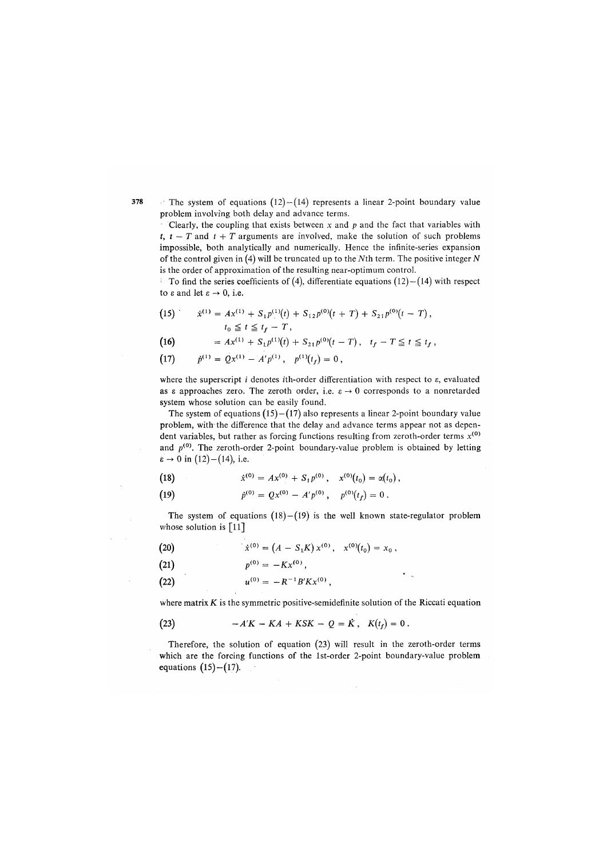378 The system of equations  $(12) - (14)$  represents a linear 2-point boundary value problem involving both delay and advance terms.

 $\sim$  Clearly, the coupling that exists between x and p and the fact that variables with *t, t – T* and  $t + T$  arguments are involved, make the solution of such problems impossible, both analytically and numerically. Hence the infinite-series expansion of the control given in *(*4) will be truncated up to the Ath term. The positive integer *N*  is the order of approximation of the resulting near-optimum control.

To find the series coefficients of  $(4)$ , differentiate equations  $(12) - (14)$  with respect to  $\varepsilon$  and let  $\varepsilon \to 0$ , i.e.

(15) 
$$
\dot{x}^{(1)} = Ax^{(1)} + S_1 p^{(1)}(t) + S_{12} p^{(0)}(t+T) + S_{21} p^{(0)}(t-T),
$$

$$
t_0 \le t \le t_f - T,
$$

(16) 
$$
= Ax^{(1)} + S_1 p^{(1)}(t) + S_{21} p^{(0)}(t - T), \quad t_f - T \leq t \leq t_f,
$$

(17) 
$$
\dot{p}^{(1)} = Qx^{(1)} - A'p^{(1)}, \quad p^{(1)}(t_f) = 0,
$$

where the superscript *i* denotes *i*th-order differentiation with respect to  $\varepsilon$ , evaluated as  $\varepsilon$  approaches zero. The zeroth order, i.e.  $\varepsilon \to 0$  corresponds to a nonretarded system whose solution can be easily found.

The system of equations  $(15) - (17)$  also represents a linear 2-point boundary value problem, with the difference that the delay and advance terms appear not as dependent variables, but rather as forcing functions resulting from zeroth-order terms  $x^{(0)}$ and  $p^{(0)}$ . The zeroth-order 2-point boundary-value problem is obtained by letting  $\varepsilon \to 0$  in (12) – (14), i.e.

(18) 
$$
\dot{x}^{(0)} = Ax^{(0)} + S_1 p^{(0)}, \quad x^{(0)}(t_0) = \alpha(t_0),
$$

(19) 
$$
\dot{p}^{(0)} = Qx^{(0)} - A'p^{(0)}, \quad p^{(0)}(t_f) = 0.
$$

The system of equations  $(18) - (19)$  is the well known state-regulator problem whose solution is [11]

(20) 
$$
\dot{x}^{(0)} = (A - S_1 K) x^{(0)}, \quad x^{(0)}(t_0) = x_0,
$$

(21) 
$$
p^{(0)} = -Kx^{(0)},
$$

(22) 
$$
u^{(0)} = -R^{-1}B'Kx^{(0)},
$$

where matrix  $K$  is the symmetric positive-semidefinite solution of the Riccati equation

 $\epsilon_{\rm{eq}}$ 

(23) 
$$
-A'K - KA + KSK - Q = \dot{K}, \quad K(t_f) = 0.
$$

Therefore, the solution of equation (23) will result in the zeroth-order terms which are the forcing functions of the lst-order 2-point boundary-value problem equations  $(15)$  -  $(17)$ .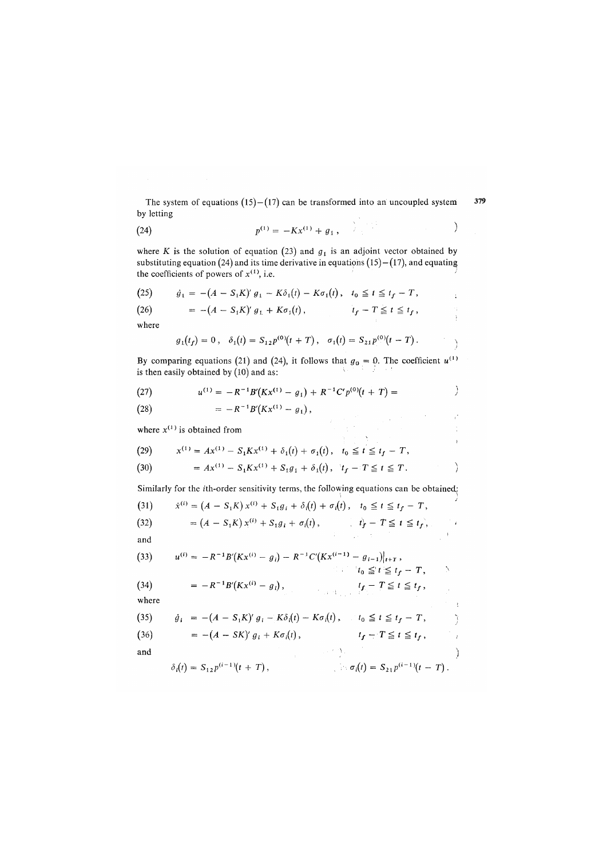The system of equations  $(15) - (17)$  can be transformed into an uncoupled system 379 by letting

(24) 
$$
p^{(1)} = -Kx^{(1)} + g_1, \quad \boxed{\phantom{0}}
$$

where *K* is the solution of equation (23) and  $g_1$  is an adjoint vector obtained by substituting equation (24) and its time derivative in equations  $(15)-(17)$ , and equating the coefficients of powers of  $x^{(1)}$ , i.e.

(25) 
$$
\dot{g}_1 = -(A - S_1 K)' g_1 - K \delta_1(t) - K \sigma_1(t), \quad t_0 \leq t \leq t_f - T,
$$

(26) = 
$$
-(A - S_1 K)' g_1 + K \sigma_1(t)
$$
,  $t_f - T \leq t \leq t_f$ 

where

$$
g_1(t_f) = 0, \quad \delta_1(t) = S_{12} p^{(0)}(t+T), \quad \sigma_1(t) = S_{21} p^{(0)}(t-T).
$$

By comparing equations (21) and (24), it follows that  $g_0 = 0$ . The coefficient  $u^{(1)}$ is then easily obtained by  $(10)$  and as:

(27) 
$$
u^{(1)} = -R^{-1}B'(Kx^{(1)} - g_1) + R^{-1}C'p^{(0)}(t+T) =
$$

(28) 
$$
= -R^{-1}B'(Kx^{(1)} - g_1),
$$

where  $x^{(1)}$  is obtained from

(29) 
$$
x^{(1)} = Ax^{(1)} - S_1Kx^{(1)} + \delta_1(t) + \sigma_1(t), \quad t_0 \leq t \leq t_f - T,
$$

(30) = 
$$
Ax^{(1)} - S_1Kx^{(1)} + S_1g_1 + \delta_1(t), \quad t_f - T \le t \le T.
$$

Similarly for the ith-order sensitivity terms, the following equations can be obtained:

(31) 
$$
\dot{x}^{(i)} = (A - S_1 K) x^{(i)} + S_1 g_i + \delta_i(t) + \sigma_i(t), \quad t_0 \leq t \leq t_f - T,
$$

(32) = 
$$
(A - S_1 K) x^{(i)} + S_1 g_i + \sigma_i(t)
$$
,  $t_j - T \le t \le t_f$ ,  
and

(33) 
$$
u^{(i)} = -R^{-1}B'(Kx^{(i)} - g_i) - R^{-1}C'(Kx^{(i-1)} - g_{i-1})|_{t+T},
$$

$$
t_0 \leq t \leq t_f - T,
$$

(34) 
$$
= -R^{-1}B'(Kx^{(i)} - g_i), \qquad t_f - T \le t \le t_f,
$$

where

(35) 
$$
\dot{g}_i = -(A - S_1 K)^r g_i - K \delta_i(t) - K \sigma_i(t), \quad t_0 \le t \le t_f - T,
$$
  
\n(36)  $= -(A - SK)^r g_i + K \sigma_i(t), \quad t_f - T \le t \le t_f,$ 

and  $\left( \begin{array}{ccc} 0 & 0 & 0 \\ 0 & 0 & 0 \\ 0 & 0 & 0 \end{array} \right)$ 

$$
\delta_i(t) = S_{12} p^{(i-1)}(t+T), \qquad \qquad \beta_i(t) = S_{21} p^{(i-1)}(t-T).
$$

*,* 

 $\bar{t}$ 

Ń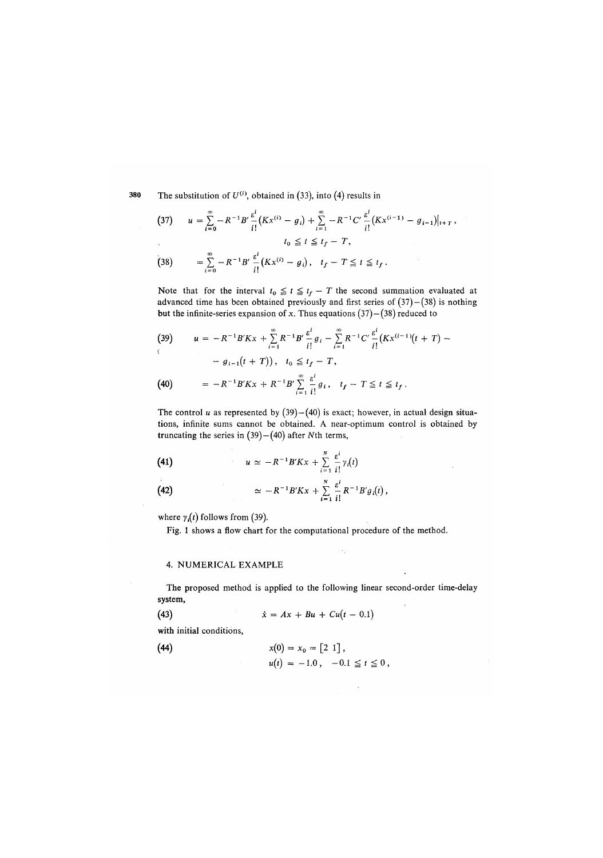**380** The substitution of  $U^{(i)}$ , obtained in (33), into (4) results in

$$
(37) \qquad u = \sum_{i=0}^{\infty} -R^{-1}B'\frac{\varepsilon^{i}}{i!}(Kx^{(i)} - g_{i}) + \sum_{i=1}^{\infty} -R^{-1}C'\frac{\varepsilon^{i}}{i!}(Kx^{(i-1)} - g_{i-1})|_{t+T},
$$
\n
$$
t_{0} \le t \le t_{f} - T,
$$
\n
$$
(38) \qquad -\sum_{i=0}^{\infty} -B^{-1}B'\frac{\varepsilon^{i}}{i}(Kx^{(i)} - g_{i}) + \sum_{i=0}^{n} \sum_{i=0}^{n} \varepsilon^{i}Kx^{(i)}.
$$

$$
(38) \qquad = \sum_{i=0}^{\infty} -R^{-1}B' \frac{e}{i!} (Kx^{(i)} - g_i), \quad t_f - T \leq t \leq t_f.
$$

Note that for the interval  $t_0 \leq t \leq t_f - T$  the second summation evaluated at advanced time has been obtained previously and first series of  $(37) - (38)$  is nothing but the infinite-series expansion of x. Thus equations  $(37) - (38)$  reduced to

$$
\text{(39)} \qquad u = -R^{-1}B'Kx + \sum_{i=1}^{\infty} R^{-1}B' \frac{e^i}{i!} g_i - \sum_{i=1}^{\infty} R^{-1}C' \frac{e^i}{i!} (Kx^{(i-1)}(t+T) -
$$

$$
- g_{i-1}(t+T)), \quad t_0 \leq t_f - T,
$$

(40) 
$$
= -R^{-1}B'Kx + R^{-1}B'\sum_{i=1}^{n}\frac{\varepsilon}{i!}g_i, \quad t_f - T \leq t \leq t_f.
$$

The control u as represented by  $(39) - (40)$  is exact; however, in actual design situations, infinite sums cannot be obtained. A near-optimum control is obtained by truncating the series in  $(39) - (40)$  after Nth terms,

(41) 
$$
u \simeq -R^{-1}B'Kx + \sum_{i=1}^{N} \frac{\varepsilon^{i}}{i!} \gamma_{i}(t)
$$

(42) 
$$
\simeq -R^{-1}B'Kx + \sum_{i=1}^{N} \frac{\varepsilon^{i}}{i!} R^{-1}B'g_{i}(t) ,
$$

where  $\gamma_i(t)$  follows from (39).

Fig. 1 shows a flow chart for the computational procedure of the method.

# 4. NUMERICAL EXAMPLE

The proposed method is applied to the following linear second-order time-delay system,

 $\lambda$ 

(43) 
$$
\dot{x} = Ax + Bu + Cu(t - 0.1)
$$

with initial conditions,

(44) 
$$
x(0) = x_0 = [2 \t 1],
$$

$$
u(t) = -1.0, -0.1 \le t \le 0,
$$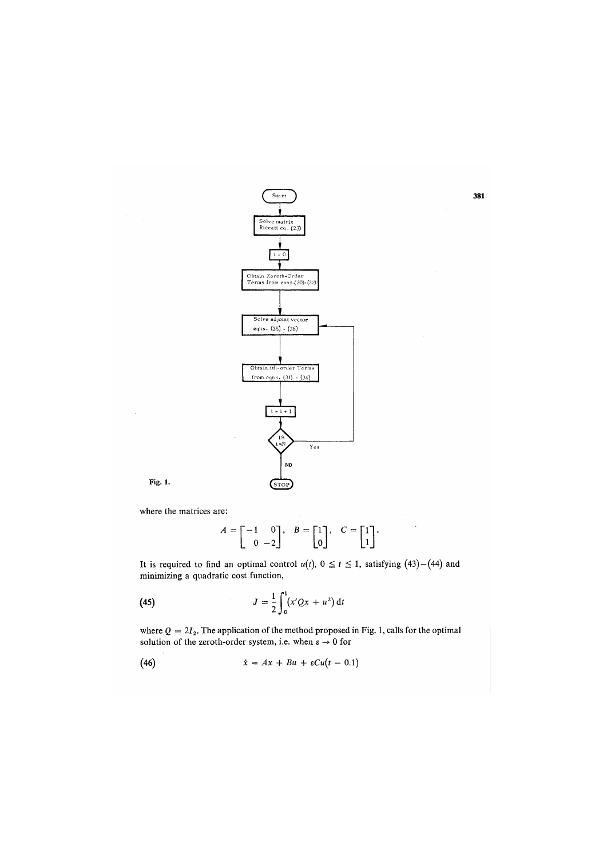

Fig. 1.

where the matrices are:

$$
A = \begin{bmatrix} -1 & 0 \\ 0 & -2 \end{bmatrix}, \quad B = \begin{bmatrix} 1 \\ 0 \end{bmatrix}, \quad C = \begin{bmatrix} 1 \\ 1 \end{bmatrix}.
$$

It is required to find an optimal control  $u(t)$ ,  $0 \le t \le 1$ , satisfying (43) – (44) and minimizing a quadratic cost function,

(45) 
$$
J = \frac{1}{2} \int_0^1 (x'Qx + u^2) dt
$$

where  $Q = 2I_2$ . The application of the method proposed in Fig. 1, calls for the optimal solution of the zeroth-order system, i.e. when  $\varepsilon \to 0$  for

$$
(46) \qquad \qquad \dot{x} = Ax + Bu + \varepsilon Cu(t - 0.1)
$$

381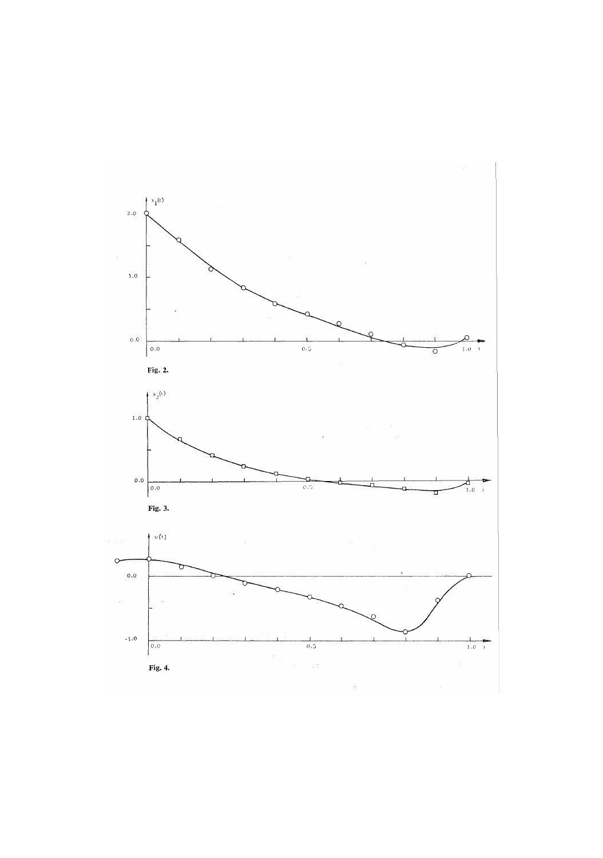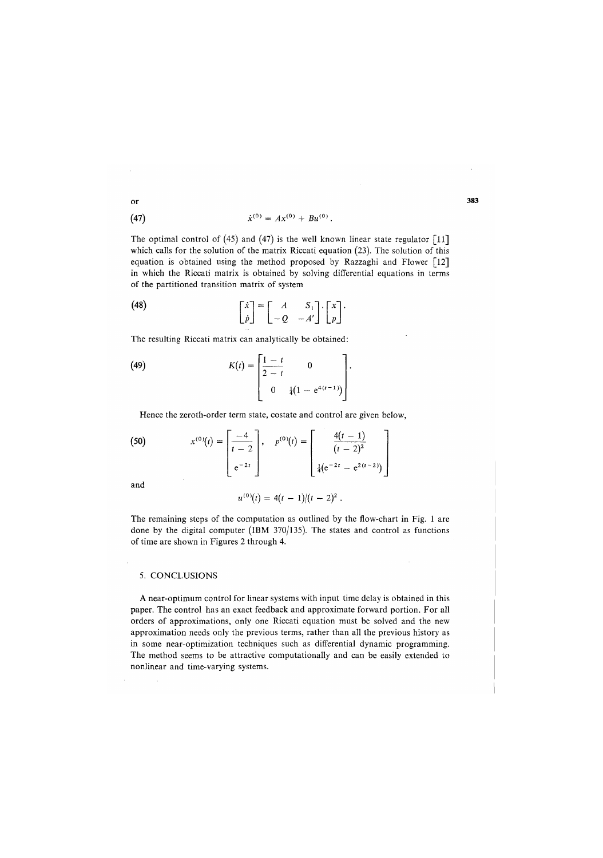(47) 
$$
\dot{x}^{(0)} = Ax^{(0)} + Bu^{(0)}.
$$

The optimal control of *(*45) and *(*47) is the well known linear state regulator [11] which calls for the solution of the matrix Riccati equation *(*23). The solution of this equation is obtained using the method proposed by Razzaghi and Flower [12] in which the Riccati matrix is obtained by solving differential equations in terms of the partitioned transition matrix of system

(48) 
$$
\begin{bmatrix} \dot{x} \\ \dot{p} \end{bmatrix} = \begin{bmatrix} A & S_1 \\ -Q & -A' \end{bmatrix} \begin{bmatrix} x \\ p \end{bmatrix}.
$$

The resulting Riccati matrix can analytically be obtained:

(49) 
$$
K(t) = \begin{bmatrix} \frac{1-t}{2-t} & 0 \\ 0 & \frac{1}{4}(1 - e^{4(t-1)}) \end{bmatrix}
$$

Hence the zeroth-order term state, costate and control are given below,

(50) 
$$
x^{(0)}(t) = \begin{bmatrix} -4 \\ t-2 \\ e^{-2t} \end{bmatrix}, \quad p^{(0)}(t) = \begin{bmatrix} \frac{4(t-1)}{(t-2)^2} \\ \frac{4}{t} (e^{-2t} - e^{2(t-2)}) \end{bmatrix}
$$

and

or

$$
u^{(0)}(t) = 4(t-1)/(t-2)^2.
$$

The remaining steps of the computation as outlined by the flow-chart in Fig. 1 are done by the digital computer (IBM 370/135). The states and control as functions of time are shown in Figures 2 through 4.

## 5. CONCLUSIONS

A near-optimum control for linear systems with input time delay is obtained in this paper. The control has an exact feedback and approximate forward portion. For all orders of approximations, only one Riccati equation must be solved and the new approximation needs only the previous terms, rather than all the previous history as in some near-optimization techniques such as differential dynamic programming. The method seems to be attractive computationally and can be easily extended to nonlinear and time-varying systems.

383